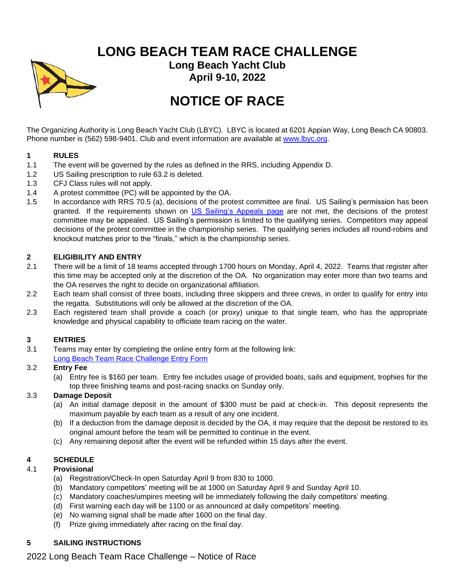**LONG BEACH TEAM RACE CHALLENGE**



**Long Beach Yacht Club April 9-10, 2022**

# **NOTICE OF RACE**

The Organizing Authority is Long Beach Yacht Club (LBYC). LBYC is located at 6201 Appian Way, Long Beach CA 90803. Phone number is (562) 598-9401. Club and event information are available at [www.lbyc.org.](http://www.lbyc.org/)

## **1 RULES**

- 1.1 The event will be governed by the rules as defined in the RRS, including Appendix D.
- 1.2 US Sailing prescription to rule 63.2 is deleted.
- 1.3 CFJ Class rules will not apply.
- 1.4 A protest committee (PC) will be appointed by the OA.
- 1.5 In accordance with RRS 70.5 (a), decisions of the protest committee are final. US Sailing's permission has been granted. If the requirements shown on [US Sailing's Appeals page](https://www.ussailing.org/competition/rules-officiating/appeals/no-appeal-rule-70-5-%20procedures/) are not met, the decisions of the protest committee may be appealed. US Sailing's permission is limited to the qualifying series. Competitors may appeal decisions of the protest committee in the championship series. The qualifying series includes all round-robins and knockout matches prior to the "finals," which is the championship series.

## **2 ELIGIBILITY AND ENTRY**

- 2.1 There will be a limit of 18 teams accepted through 1700 hours on Monday, April 4, 2022. Teams that register after this time may be accepted only at the discretion of the OA. No organization may enter more than two teams and the OA reserves the right to decide on organizational affiliation.
- 2.2 Each team shall consist of three boats, including three skippers and three crews, in order to qualify for entry into the regatta. Substitutions will only be allowed at the discretion of the OA.
- 2.3 Each registered team shall provide a coach (or proxy) unique to that single team, who has the appropriate knowledge and physical capability to officiate team racing on the water.

## **3 ENTRIES**

3.1 Teams may enter by completing the online entry form at the following link: [Long Beach Team Race Challenge Entry Form](https://docs.google.com/forms/d/e/1FAIpQLScoTldy_5LMMYL1Q6plf0TXBgn3SiWF4JQf8l9jqQxMTBrMJw/viewform)

# 3.2 **Entry Fee**

(a) Entry fee is \$160 per team. Entry fee includes usage of provided boats, sails and equipment, trophies for the top three finishing teams and post-racing snacks on Sunday only.

## 3.3 **Damage Deposit**

- (a) An initial damage deposit in the amount of \$300 must be paid at check-in. This deposit represents the maximum payable by each team as a result of any one incident.
- (b) If a deduction from the damage deposit is decided by the OA, it may require that the deposit be restored to its original amount before the team will be permitted to continue in the event.
- (c) Any remaining deposit after the event will be refunded within 15 days after the event.

# **4 SCHEDULE**

## 4.1 **Provisional**

- (a) Registration/Check-In open Saturday April 9 from 830 to 1000.
- (b) Mandatory competitors' meeting will be at 1000 on Saturday April 9 and Sunday April 10.
- (c) Mandatory coaches/umpires meeting will be immediately following the daily competitors' meeting.
- (d) First warning each day will be 1100 or as announced at daily competitors' meeting.
- (e) No warning signal shall be made after 1600 on the final day.
- (f) Prize giving immediately after racing on the final day.

# **5 SAILING INSTRUCTIONS**

2022 Long Beach Team Race Challenge – Notice of Race